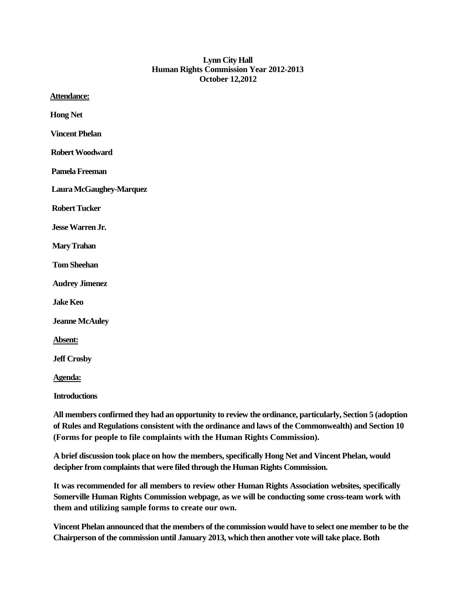## **Lynn City Hall Human Rights Commission Year 2012-2013 October 12,2012**

**Attendance: Hong Net Vincent Phelan Robert Woodward Pamela Freeman Laura McGaughey-Marquez Robert Tucker Jesse Warren Jr. Mary Trahan Tom Sheehan Audrey Jimenez Jake Keo Jeanne McAuley Absent: Jeff Crosby Agenda:**

**Introductions**

**All members confirmed they had an opportunity to review the ordinance, particularly, Section 5 (adoption of Rules and Regulations consistent with the ordinance and laws of the Commonwealth) and Section 10 (Forms for people to file complaints with the Human Rights Commission).**

**A brief discussion took place on how the members, specifically Hong Net and Vincent Phelan, would decipher from complaints that were filed through the Human Rights Commission.**

**It was recommended for all members to review other Human Rights Association websites, specifically Somerville Human Rights Commission webpage, as we will be conducting some cross-team work with them and utilizing sample forms to create our own.**

**Vincent Phelan announced that the members of the commission would have to select one member to be the Chairperson of the commission until January 2013, which then another vote will take place. Both**